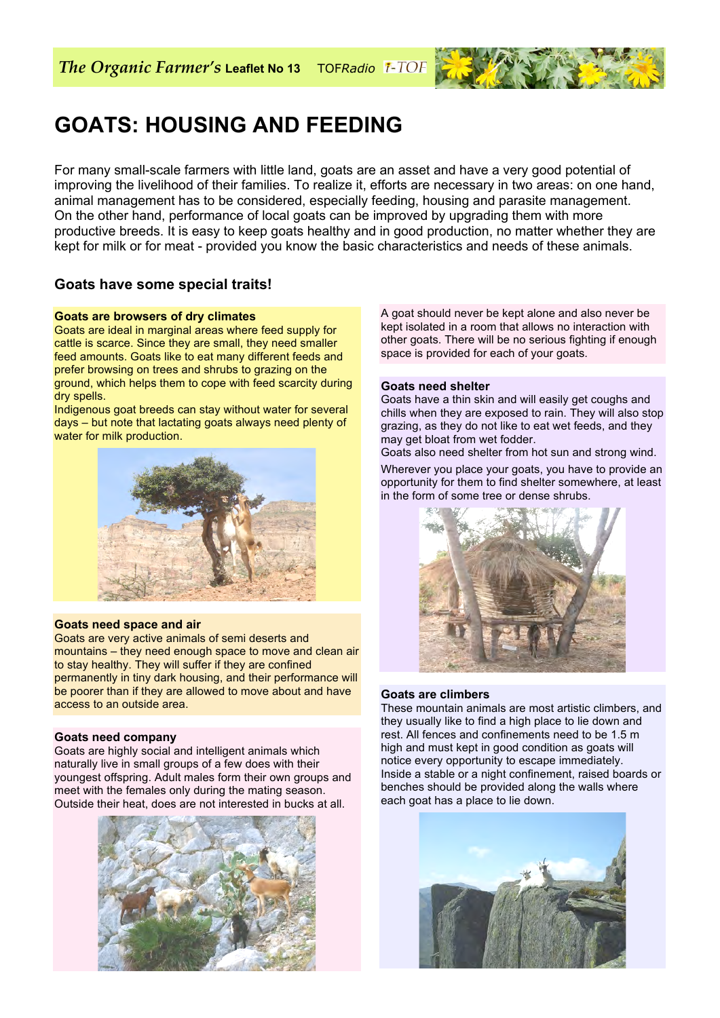

# **GOATS: HOUSING AND FEEDING**

For many small-scale farmers with little land, goats are an asset and have a very good potential of improving the livelihood of their families. To realize it, efforts are necessary in two areas: on one hand, animal management has to be considered, especially feeding, housing and parasite management. On the other hand, performance of local goats can be improved by upgrading them with more productive breeds. It is easy to keep goats healthy and in good production, no matter whether they are kept for milk or for meat - provided you know the basic characteristics and needs of these animals.

# **Goats have some special traits!**

#### **Goats are browsers of dry climates**

Goats are ideal in marginal areas where feed supply for cattle is scarce. Since they are small, they need smaller feed amounts. Goats like to eat many different feeds and prefer browsing on trees and shrubs to grazing on the ground, which helps them to cope with feed scarcity during dry spells.

Indigenous goat breeds can stay without water for several days – but note that lactating goats always need plenty of water for milk production.



#### **Goats need space and air**

Goats are very active animals of semi deserts and mountains – they need enough space to move and clean air to stay healthy. They will suffer if they are confined permanently in tiny dark housing, and their performance will be poorer than if they are allowed to move about and have access to an outside area.

#### **Goats need company**

Goats are highly social and intelligent animals which naturally live in small groups of a few does with their youngest offspring. Adult males form their own groups and meet with the females only during the mating season. Outside their heat, does are not interested in bucks at all.



A goat should never be kept alone and also never be kept isolated in a room that allows no interaction with other goats. There will be no serious fighting if enough space is provided for each of your goats.

#### **Goats need shelter**

Goats have a thin skin and will easily get coughs and chills when they are exposed to rain. They will also stop grazing, as they do not like to eat wet feeds, and they may get bloat from wet fodder.

Goats also need shelter from hot sun and strong wind.

Wherever you place your goats, you have to provide an opportunity for them to find shelter somewhere, at least in the form of some tree or dense shrubs.



#### **Goats are climbers**

These mountain animals are most artistic climbers, and they usually like to find a high place to lie down and rest. All fences and confinements need to be 1.5 m high and must kept in good condition as goats will notice every opportunity to escape immediately. Inside a stable or a night confinement, raised boards or benches should be provided along the walls where each goat has a place to lie down.

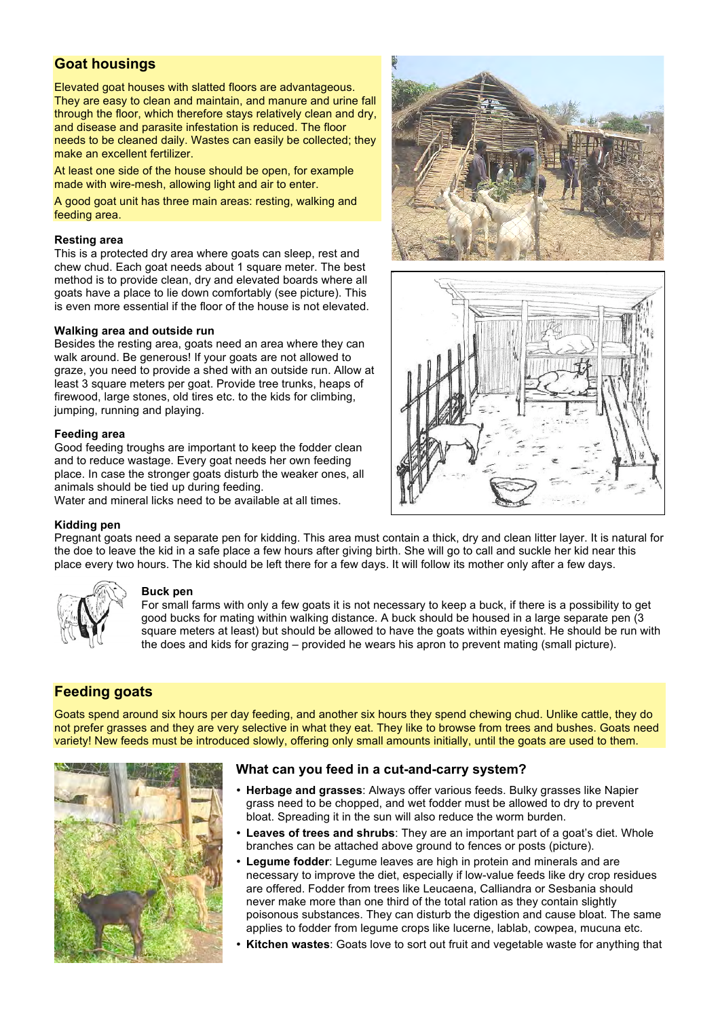# **Goat housings**

Elevated goat houses with slatted floors are advantageous. They are easy to clean and maintain, and manure and urine fall through the floor, which therefore stays relatively clean and dry, and disease and parasite infestation is reduced. The floor needs to be cleaned daily. Wastes can easily be collected; they make an excellent fertilizer.

At least one side of the house should be open, for example made with wire-mesh, allowing light and air to enter.

A good goat unit has three main areas: resting, walking and feeding area.

### **Resting area**

This is a protected dry area where goats can sleep, rest and chew chud. Each goat needs about 1 square meter. The best method is to provide clean, dry and elevated boards where all goats have a place to lie down comfortably (see picture). This is even more essential if the floor of the house is not elevated.

#### **Walking area and outside run**

Besides the resting area, goats need an area where they can walk around. Be generous! If your goats are not allowed to graze, you need to provide a shed with an outside run. Allow at least 3 square meters per goat. Provide tree trunks, heaps of firewood, large stones, old tires etc. to the kids for climbing, jumping, running and playing.

#### **Feeding area**

Good feeding troughs are important to keep the fodder clean and to reduce wastage. Every goat needs her own feeding place. In case the stronger goats disturb the weaker ones, all animals should be tied up during feeding.

Water and mineral licks need to be available at all times.





#### **Kidding pen**

Pregnant goats need a separate pen for kidding. This area must contain a thick, dry and clean litter layer. It is natural for the doe to leave the kid in a safe place a few hours after giving birth. She will go to call and suckle her kid near this place every two hours. The kid should be left there for a few days. It will follow its mother only after a few days.



#### **Buck pen**

For small farms with only a few goats it is not necessary to keep a buck, if there is a possibility to get good bucks for mating within walking distance. A buck should be housed in a large separate pen (3 square meters at least) but should be allowed to have the goats within eyesight. He should be run with the does and kids for grazing – provided he wears his apron to prevent mating (small picture).

## **Feeding goats**

Goats spend around six hours per day feeding, and another six hours they spend chewing chud. Unlike cattle, they do not prefer grasses and they are very selective in what they eat. They like to browse from trees and bushes. Goats need variety! New feeds must be introduced slowly, offering only small amounts initially, until the goats are used to them.



## **What can you feed in a cut-and-carry system?**

- **Herbage and grasses**: Always offer various feeds. Bulky grasses like Napier grass need to be chopped, and wet fodder must be allowed to dry to prevent bloat. Spreading it in the sun will also reduce the worm burden.
- Leaves of trees and shrubs: They are an important part of a goat's diet. Whole branches can be attached above ground to fences or posts (picture).
- **Legume fodder**: Legume leaves are high in protein and minerals and are necessary to improve the diet, especially if low-value feeds like dry crop residues are offered. Fodder from trees like Leucaena, Calliandra or Sesbania should never make more than one third of the total ration as they contain slightly poisonous substances. They can disturb the digestion and cause bloat. The same applies to fodder from legume crops like lucerne, lablab, cowpea, mucuna etc.
- **Kitchen wastes**: Goats love to sort out fruit and vegetable waste for anything that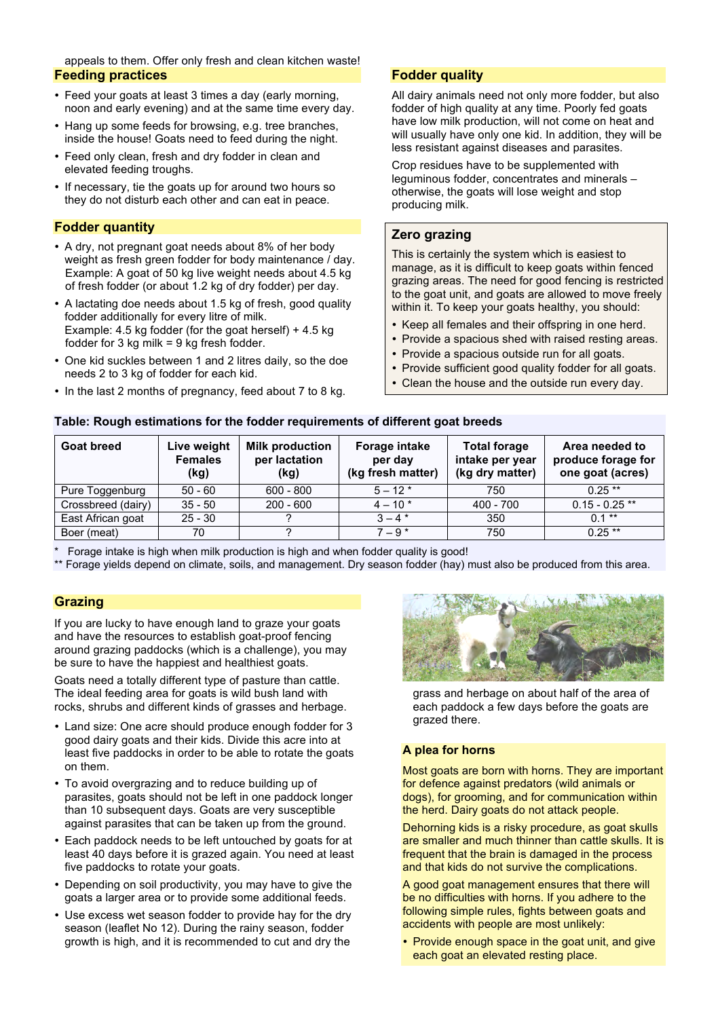appeals to them. Offer only fresh and clean kitchen waste! **Feeding practices**

- Feed your goats at least 3 times a day (early morning, noon and early evening) and at the same time every day.
- Hang up some feeds for browsing, e.g. tree branches, inside the house! Goats need to feed during the night.
- Feed only clean, fresh and dry fodder in clean and elevated feeding troughs.
- If necessary, tie the goats up for around two hours so they do not disturb each other and can eat in peace.

## **Fodder quantity**

- A dry, not pregnant goat needs about 8% of her body weight as fresh green fodder for body maintenance / day. Example: A goat of 50 kg live weight needs about 4.5 kg of fresh fodder (or about 1.2 kg of dry fodder) per day.
- A lactating doe needs about 1.5 kg of fresh, good quality fodder additionally for every litre of milk. Example: 4.5 kg fodder (for the goat herself) + 4.5 kg fodder for 3 kg milk = 9 kg fresh fodder.
- One kid suckles between 1 and 2 litres daily, so the doe needs 2 to 3 kg of fodder for each kid.
- In the last 2 months of pregnancy, feed about 7 to 8 kg.

## **Fodder quality**

All dairy animals need not only more fodder, but also fodder of high quality at any time. Poorly fed goats have low milk production, will not come on heat and will usually have only one kid. In addition, they will be less resistant against diseases and parasites.

Crop residues have to be supplemented with leguminous fodder, concentrates and minerals – otherwise, the goats will lose weight and stop producing milk.

# **Zero grazing**

This is certainly the system which is easiest to manage, as it is difficult to keep goats within fenced grazing areas. The need for good fencing is restricted to the goat unit, and goats are allowed to move freely within it. To keep your goats healthy, you should:

- Keep all females and their offspring in one herd.
- Provide a spacious shed with raised resting areas.
- Provide a spacious outside run for all goats.
- Provide sufficient good quality fodder for all goats.
- Clean the house and the outside run every day.

#### **Table: Rough estimations for the fodder requirements of different goat breeds**

| <b>Goat breed</b>  | Live weight<br><b>Females</b><br>(kg) | <b>Milk production</b><br>per lactation<br>(kg) | Forage intake<br>per day<br>(kg fresh matter) | <b>Total forage</b><br>intake per year<br>(kg dry matter) | Area needed to<br>produce forage for<br>one goat (acres) |
|--------------------|---------------------------------------|-------------------------------------------------|-----------------------------------------------|-----------------------------------------------------------|----------------------------------------------------------|
| Pure Toggenburg    | $50 - 60$                             | $600 - 800$                                     | $5 - 12*$                                     | 750                                                       | $0.25**$                                                 |
| Crossbreed (dairy) | $35 - 50$                             | $200 - 600$                                     | $4 - 10*$                                     | $400 - 700$                                               | $0.15 - 0.25$ **                                         |
| East African goat  | $25 - 30$                             |                                                 | $3 - 4*$                                      | 350                                                       | $0.1***$                                                 |
| Boer (meat)        | 70                                    |                                                 | $7 - 9*$                                      | 750                                                       | $0.25**$                                                 |

Forage intake is high when milk production is high and when fodder quality is good!

\*\* Forage yields depend on climate, soils, and management. Dry season fodder (hay) must also be produced from this area.

## **Grazing**

If you are lucky to have enough land to graze your goats and have the resources to establish goat-proof fencing around grazing paddocks (which is a challenge), you may be sure to have the happiest and healthiest goats.

Goats need a totally different type of pasture than cattle. The ideal feeding area for goats is wild bush land with rocks, shrubs and different kinds of grasses and herbage.

- Land size: One acre should produce enough fodder for 3 good dairy goats and their kids. Divide this acre into at least five paddocks in order to be able to rotate the goats on them.
- To avoid overgrazing and to reduce building up of parasites, goats should not be left in one paddock longer than 10 subsequent days. Goats are very susceptible against parasites that can be taken up from the ground.
- Each paddock needs to be left untouched by goats for at least 40 days before it is grazed again. You need at least five paddocks to rotate your goats.
- Depending on soil productivity, you may have to give the goats a larger area or to provide some additional feeds.
- Use excess wet season fodder to provide hay for the dry season (leaflet No 12). During the rainy season, fodder growth is high, and it is recommended to cut and dry the



grass and herbage on about half of the area of each paddock a few days before the goats are grazed there.

## **A plea for horns**

Most goats are born with horns. They are important for defence against predators (wild animals or dogs), for grooming, and for communication within the herd. Dairy goats do not attack people.

Dehorning kids is a risky procedure, as goat skulls are smaller and much thinner than cattle skulls. It is frequent that the brain is damaged in the process and that kids do not survive the complications.

A good goat management ensures that there will be no difficulties with horns. If you adhere to the following simple rules, fights between goats and accidents with people are most unlikely:

• Provide enough space in the goat unit, and give each goat an elevated resting place.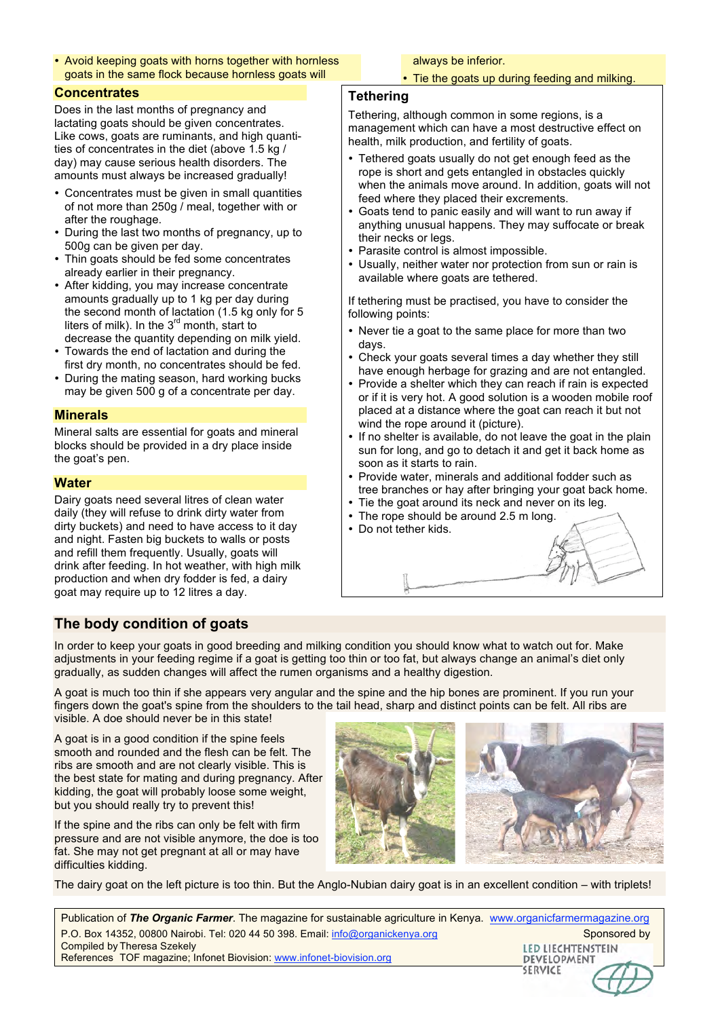• Avoid keeping goats with horns together with hornless goats in the same flock because hornless goats will

## **Concentrates**

Does in the last months of pregnancy and lactating goats should be given concentrates. Like cows, goats are ruminants, and high quantities of concentrates in the diet (above 1.5 kg / day) may cause serious health disorders. The amounts must always be increased gradually!

- Concentrates must be given in small quantities of not more than 250g / meal, together with or after the roughage.
- During the last two months of pregnancy, up to 500g can be given per day.
- Thin goats should be fed some concentrates already earlier in their pregnancy.
- After kidding, you may increase concentrate amounts gradually up to 1 kg per day during the second month of lactation (1.5 kg only for 5 liters of milk). In the  $3<sup>rd</sup>$  month, start to decrease the quantity depending on milk yield.
- Towards the end of lactation and during the first dry month, no concentrates should be fed.
- During the mating season, hard working bucks may be given 500 g of a concentrate per day.

## **Minerals**

Mineral salts are essential for goats and mineral blocks should be provided in a dry place inside the goat's pen.

## **Water**

Dairy goats need several litres of clean water daily (they will refuse to drink dirty water from dirty buckets) and need to have access to it day and night. Fasten big buckets to walls or posts and refill them frequently. Usually, goats will drink after feeding. In hot weather, with high milk production and when dry fodder is fed, a dairy goat may require up to 12 litres a day.

# **The body condition of goats**

always be inferior.

• Tie the goats up during feeding and milking.

## **Tethering**

Tethering, although common in some regions, is a management which can have a most destructive effect on health, milk production, and fertility of goats.

- Tethered goats usually do not get enough feed as the rope is short and gets entangled in obstacles quickly when the animals move around. In addition, goats will not feed where they placed their excrements.
- Goats tend to panic easily and will want to run away if anything unusual happens. They may suffocate or break their necks or legs.
- Parasite control is almost impossible.
- Usually, neither water nor protection from sun or rain is available where goats are tethered.

If tethering must be practised, you have to consider the following points:

- Never tie a goat to the same place for more than two days.
- Check your goats several times a day whether they still have enough herbage for grazing and are not entangled.
- Provide a shelter which they can reach if rain is expected or if it is very hot. A good solution is a wooden mobile roof placed at a distance where the goat can reach it but not wind the rope around it (picture).
- If no shelter is available, do not leave the goat in the plain sun for long, and go to detach it and get it back home as soon as it starts to rain.
- Provide water, minerals and additional fodder such as tree branches or hay after bringing your goat back home.
- Tie the goat around its neck and never on its leg.
- The rope should be around 2.5 m long.
- Do not tether kids.

In order to keep your goats in good breeding and milking condition you should know what to watch out for. Make adjustments in your feeding regime if a goat is getting too thin or too fat, but always change an animal's diet only gradually, as sudden changes will affect the rumen organisms and a healthy digestion.

A goat is much too thin if she appears very angular and the spine and the hip bones are prominent. If you run your fingers down the goat's spine from the shoulders to the tail head, sharp and distinct points can be felt. All ribs are visible. A doe should never be in this state!

A goat is in a good condition if the spine feels smooth and rounded and the flesh can be felt. The ribs are smooth and are not clearly visible. This is the best state for mating and during pregnancy. After kidding, the goat will probably loose some weight, but you should really try to prevent this!

If the spine and the ribs can only be felt with firm pressure and are not visible anymore, the doe is too fat. She may not get pregnant at all or may have difficulties kidding.



The dairy goat on the left picture is too thin. But the Anglo-Nubian dairy goat is in an excellent condition – with triplets!

Publication of *The Organic Farmer*. The magazine for sustainable agriculture in Kenya. www.organicfarmermagazine.org P.O. Box 14352, 00800 Nairobi. Tel: 020 44 50 398. Email: info@organickenya.org Sponsored by Sponsored by Compiled by Theresa Szekely LED LIECHTENSTEIN References TOF magazine; Infonet Biovision: www.infonet-biovision.org **DEVELOPMENT SERVICE**